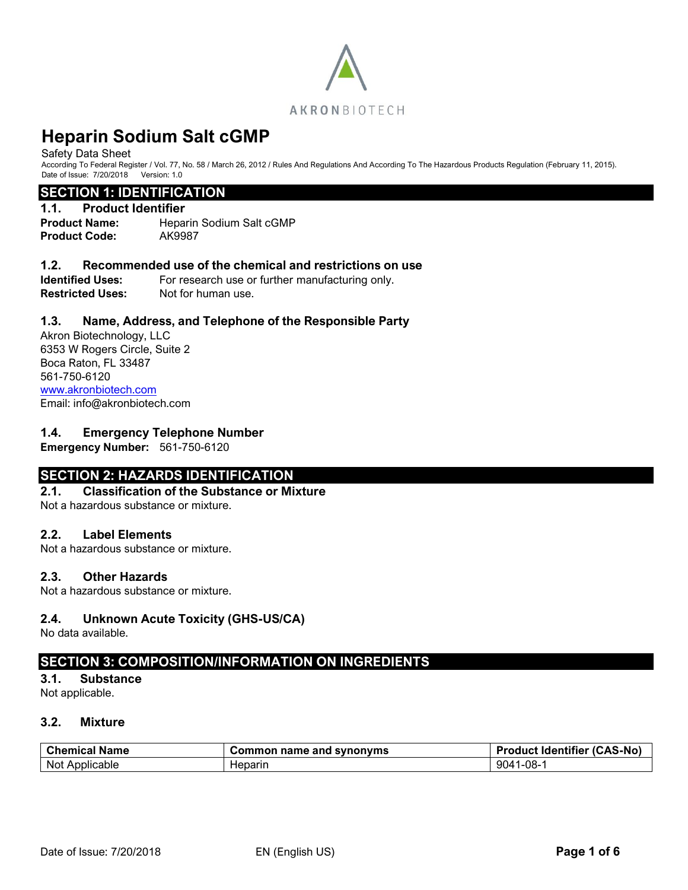

#### Safety Data Sheet

According To Federal Register / Vol. 77, No. 58 / March 26, 2012 / Rules And Regulations And According To The Hazardous Products Regulation (February 11, 2015). Date of Issue: 7/20/2018 Version: 1.0

#### **SECTION 1: IDENTIFICATION**

#### **1.1. Product Identifier**

**Product Name:** Heparin Sodium Salt cGMP **Product Code:** AK9987

#### **1.2. Recommended use of the chemical and restrictions on use**

**Identified Uses:** For research use or further manufacturing only. **Restricted Uses:** Not for human use.

#### **1.3. Name, Address, and Telephone of the Responsible Party**

Akron Biotechnology, LLC 6353 W Rogers Circle, Suite 2 Boca Raton, FL 33487 561-750-6120 [www.akronbiotech.com](http://www.akronbiotech.com/%3c/a) Email: info@akronbiotech.com

#### **1.4. Emergency Telephone Number**

**Emergency Number:** 561-750-6120

# **SECTION 2: HAZARDS IDENTIFICATION**

# **2.1. Classification of the Substance or Mixture**

Not a hazardous substance or mixture.

#### **2.2. Label Elements**

Not a hazardous substance or mixture.

#### **2.3. Other Hazards**

Not a hazardous substance or mixture.

#### **2.4. Unknown Acute Toxicity (GHS-US/CA)**

No data available.

# **SECTION 3: COMPOSITION/INFORMATION ON INGREDIENTS**

#### **3.1. Substance**

Not applicable.

# **3.2. Mixture**

| <b>Chemical</b><br><b>Name</b> | Common name and synonyms | <b>Product Identifier</b><br>(CAS-No) |
|--------------------------------|--------------------------|---------------------------------------|
| Not Applicable                 | Heparın                  | l-08-<br>9041                         |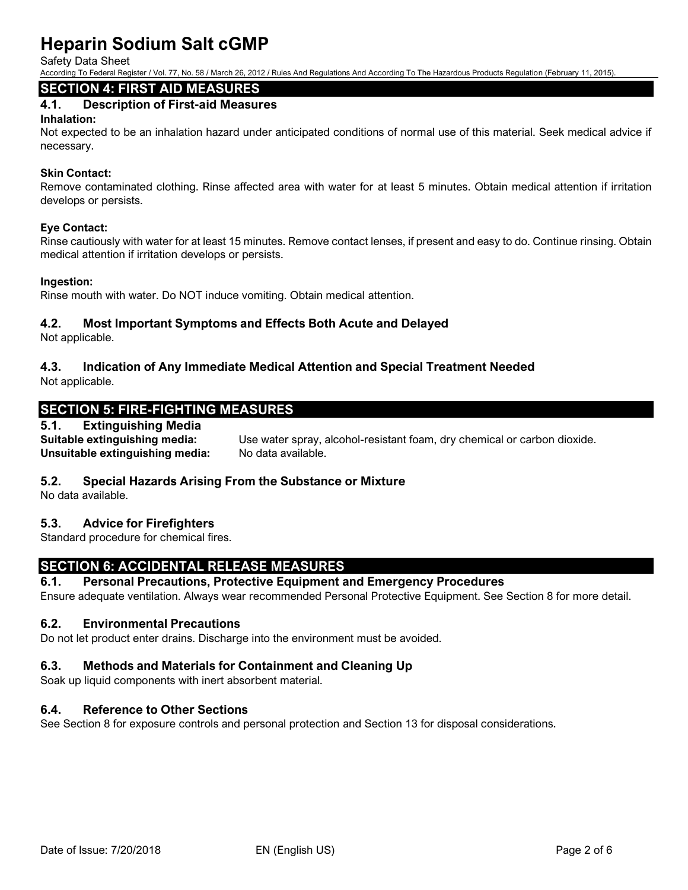Safety Data Sheet

According To Federal Register / Vol. 77, No. 58 / March 26, 2012 / Rules And Regulations And According To The Hazardous Products Regulation (February 11, 2015).

# **SECTION 4: FIRST AID MEASURES**

# **4.1. Description of First-aid Measures**

#### **Inhalation:**

Not expected to be an inhalation hazard under anticipated conditions of normal use of this material. Seek medical advice if necessary.

#### **Skin Contact:**

Remove contaminated clothing. Rinse affected area with water for at least 5 minutes. Obtain medical attention if irritation develops or persists.

#### **Eye Contact:**

Rinse cautiously with water for at least 15 minutes. Remove contact lenses, if present and easy to do. Continue rinsing. Obtain medical attention if irritation develops or persists.

#### **Ingestion:**

Rinse mouth with water. Do NOT induce vomiting. Obtain medical attention.

### **4.2. Most Important Symptoms and Effects Both Acute and Delayed**

Not applicable.

# **4.3. Indication of Any Immediate Medical Attention and Special Treatment Needed**

Not applicable.

# **SECTION 5: FIRE-FIGHTING MEASURES**

### **5.1. Extinguishing Media**

**Unsuitable extinguishing media:** No data available.

**Suitable extinguishing media:** Use water spray, alcohol-resistant foam, dry chemical or carbon dioxide.

#### **5.2. Special Hazards Arising From the Substance or Mixture**

No data available.

#### **5.3. Advice for Firefighters**

Standard procedure for chemical fires.

# **SECTION 6: ACCIDENTAL RELEASE MEASURES**

#### **6.1. Personal Precautions, Protective Equipment and Emergency Procedures**

Ensure adequate ventilation. Always wear recommended Personal Protective Equipment. See Section 8 for more detail.

#### **6.2. Environmental Precautions**

Do not let product enter drains. Discharge into the environment must be avoided.

# **6.3. Methods and Materials for Containment and Cleaning Up**

Soak up liquid components with inert absorbent material.

# **6.4. Reference to Other Sections**

See Section 8 for exposure controls and personal protection and Section 13 for disposal considerations.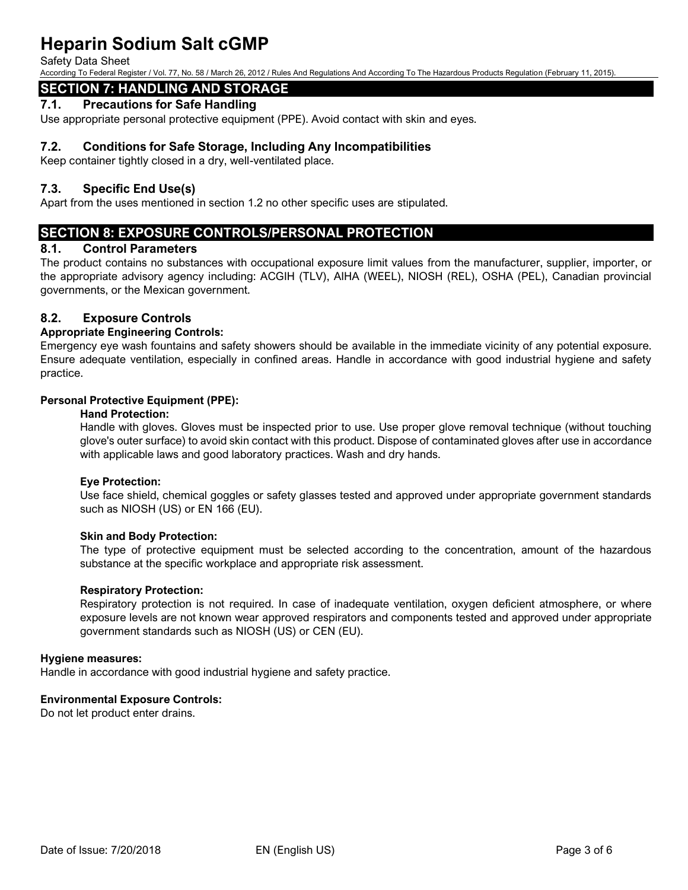Safety Data Sheet

According To Federal Register / Vol. 77, No. 58 / March 26, 2012 / Rules And Regulations And According To The Hazardous Products Regulation (February 11, 2015).

# **SECTION 7: HANDLING AND STORAGE**

#### **7.1. Precautions for Safe Handling**

Use appropriate personal protective equipment (PPE). Avoid contact with skin and eyes.

### **7.2. Conditions for Safe Storage, Including Any Incompatibilities**

Keep container tightly closed in a dry, well-ventilated place.

### **7.3. Specific End Use(s)**

Apart from the uses mentioned in section 1.2 no other specific uses are stipulated.

# **SECTION 8: EXPOSURE CONTROLS/PERSONAL PROTECTION**

#### **8.1. Control Parameters**

The product contains no substances with occupational exposure limit values from the manufacturer, supplier, importer, or the appropriate advisory agency including: ACGIH (TLV), AIHA (WEEL), NIOSH (REL), OSHA (PEL), Canadian provincial governments, or the Mexican government.

### **8.2. Exposure Controls**

#### **Appropriate Engineering Controls:**

Emergency eye wash fountains and safety showers should be available in the immediate vicinity of any potential exposure. Ensure adequate ventilation, especially in confined areas. Handle in accordance with good industrial hygiene and safety practice.

#### **Personal Protective Equipment (PPE):**

#### **Hand Protection:**

Handle with gloves. Gloves must be inspected prior to use. Use proper glove removal technique (without touching glove's outer surface) to avoid skin contact with this product. Dispose of contaminated gloves after use in accordance with applicable laws and good laboratory practices. Wash and dry hands.

#### **Eye Protection:**

Use face shield, chemical goggles or safety glasses tested and approved under appropriate government standards such as NIOSH (US) or EN 166 (EU).

#### **Skin and Body Protection:**

The type of protective equipment must be selected according to the concentration, amount of the hazardous substance at the specific workplace and appropriate risk assessment.

#### **Respiratory Protection:**

Respiratory protection is not required. In case of inadequate ventilation, oxygen deficient atmosphere, or where exposure levels are not known wear approved respirators and components tested and approved under appropriate government standards such as NIOSH (US) or CEN (EU).

#### **Hygiene measures:**

Handle in accordance with good industrial hygiene and safety practice.

#### **Environmental Exposure Controls:**

Do not let product enter drains.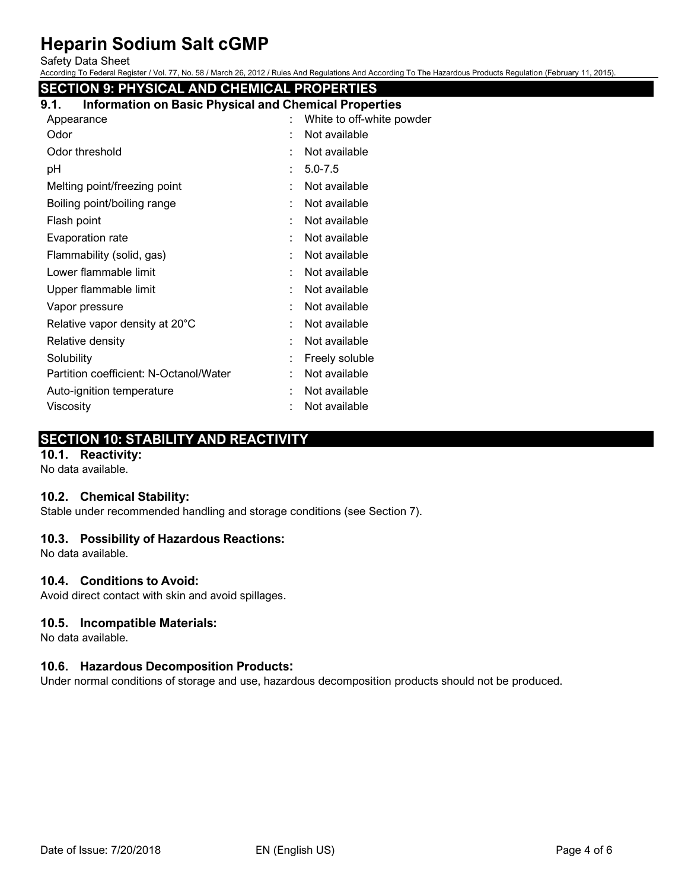Safety Data Sheet

According To Federal Register / Vol. 77, No. 58 / March 26, 2012 / Rules And Regulations And According To The Hazardous Products Regulation (February 11, 2015).

# **SECTION 9: PHYSICAL AND CHEMICAL PROPERTIES 9.1. Information on Basic Physical and Chemical Properties**

| Appearance                             | ÷. | White to off-white powder |
|----------------------------------------|----|---------------------------|
| Odor                                   |    | Not available             |
| Odor threshold                         |    | Not available             |
| рH                                     | ÷  | $5.0 - 7.5$               |
| Melting point/freezing point           |    | Not available             |
| Boiling point/boiling range            |    | Not available             |
| Flash point                            |    | Not available             |
| Evaporation rate                       |    | Not available             |
| Flammability (solid, gas)              |    | Not available             |
| Lower flammable limit                  |    | Not available             |
| Upper flammable limit                  |    | Not available             |
| Vapor pressure                         |    | Not available             |
| Relative vapor density at 20°C         |    | Not available             |
| Relative density                       |    | Not available             |
| Solubility                             |    | Freely soluble            |
| Partition coefficient: N-Octanol/Water |    | Not available             |
| Auto-ignition temperature              |    | Not available             |
| Viscosity                              |    | Not available             |

# **SECTION 10: STABILITY AND REACTIVITY**

# **10.1. Reactivity:**

No data available.

# **10.2. Chemical Stability:**

Stable under recommended handling and storage conditions (see Section 7).

#### **10.3. Possibility of Hazardous Reactions:**

No data available.

#### **10.4. Conditions to Avoid:**

Avoid direct contact with skin and avoid spillages.

#### **10.5. Incompatible Materials:**

No data available.

#### **10.6. Hazardous Decomposition Products:**

Under normal conditions of storage and use, hazardous decomposition products should not be produced.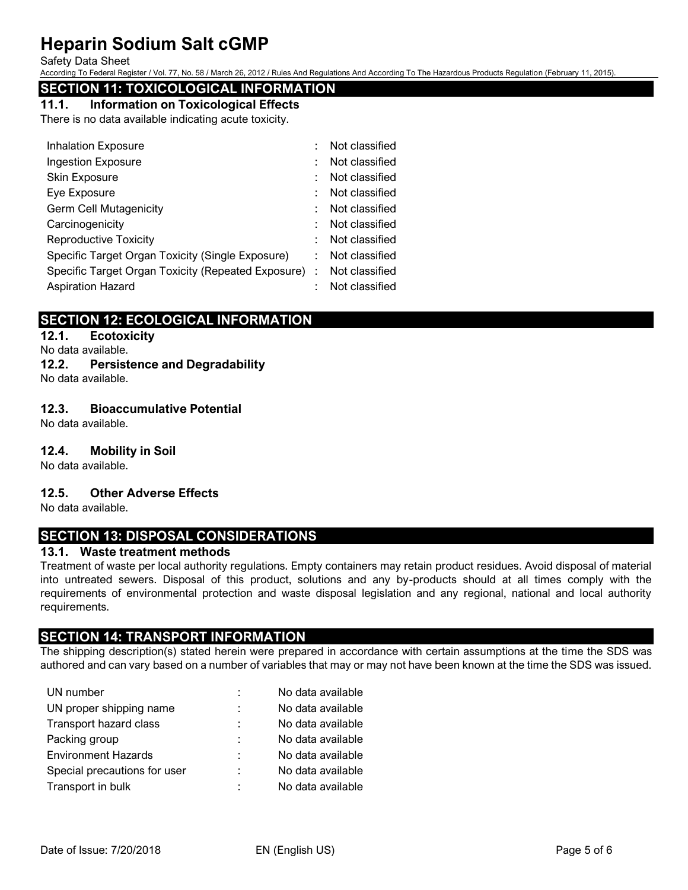Safety Data Sheet

According To Federal Register / Vol. 77, No. 58 / March 26, 2012 / Rules And Regulations And According To The Hazardous Products Regulation (February 11, 2015).

# **SECTION 11: TOXICOLOGICAL INFORMATION**

#### **11.1. Information on Toxicological Effects**

There is no data available indicating acute toxicity.

|    | Not classified                                       |
|----|------------------------------------------------------|
|    | Not classified                                       |
|    | Not classified                                       |
|    | Not classified                                       |
|    | Not classified                                       |
|    | Not classified                                       |
|    | Not classified                                       |
| ÷. | Not classified                                       |
|    | Not classified                                       |
|    | Not classified                                       |
|    | Specific Target Organ Toxicity (Repeated Exposure) : |

# **SECTION 12: ECOLOGICAL INFORMATION**

# **12.1. Ecotoxicity**

No data available.

**12.2. Persistence and Degradability** No data available.

### **12.3. Bioaccumulative Potential**

No data available.

#### **12.4. Mobility in Soil**

No data available.

#### **12.5. Other Adverse Effects**

No data available.

# **SECTION 13: DISPOSAL CONSIDERATIONS**

#### **13.1. Waste treatment methods**

Treatment of waste per local authority regulations. Empty containers may retain product residues. Avoid disposal of material into untreated sewers. Disposal of this product, solutions and any by-products should at all times comply with the requirements of environmental protection and waste disposal legislation and any regional, national and local authority requirements.

# **SECTION 14: TRANSPORT INFORMATION**

The shipping description(s) stated herein were prepared in accordance with certain assumptions at the time the SDS was authored and can vary based on a number of variables that may or may not have been known at the time the SDS was issued.

| UN number                    | ÷ | No data available |
|------------------------------|---|-------------------|
| UN proper shipping name      |   | No data available |
| Transport hazard class       | ÷ | No data available |
| Packing group                |   | No data available |
| <b>Environment Hazards</b>   | ÷ | No data available |
| Special precautions for user | ÷ | No data available |
| Transport in bulk            | ٠ | No data available |